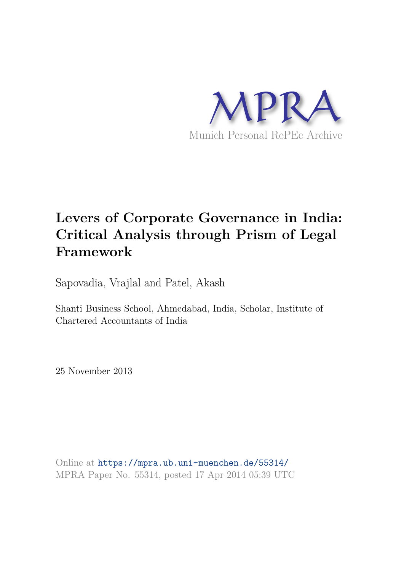

# **Levers of Corporate Governance in India: Critical Analysis through Prism of Legal Framework**

Sapovadia, Vrajlal and Patel, Akash

Shanti Business School, Ahmedabad, India, Scholar, Institute of Chartered Accountants of India

25 November 2013

Online at https://mpra.ub.uni-muenchen.de/55314/ MPRA Paper No. 55314, posted 17 Apr 2014 05:39 UTC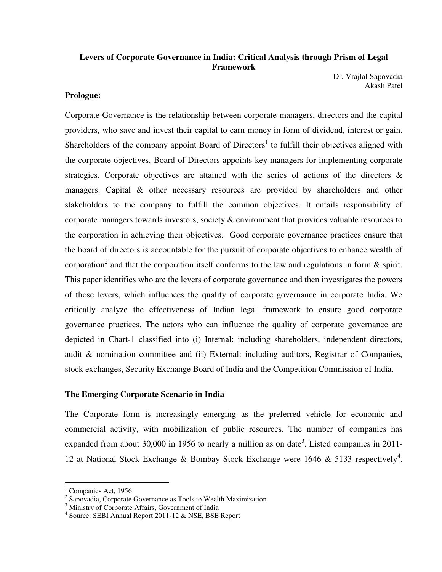## **Levers of Corporate Governance in India: Critical Analysis through Prism of Legal Framework**

Dr. Vrajlal Sapovadia Akash Patel

#### **Prologue:**

Corporate Governance is the relationship between corporate managers, directors and the capital providers, who save and invest their capital to earn money in form of dividend, interest or gain. Shareholders of the company appoint Board of Directors<sup>1</sup> to fulfill their objectives aligned with the corporate objectives. Board of Directors appoints key managers for implementing corporate strategies. Corporate objectives are attained with the series of actions of the directors  $\&$ managers. Capital & other necessary resources are provided by shareholders and other stakeholders to the company to fulfill the common objectives. It entails responsibility of corporate managers towards investors, society  $\&$  environment that provides valuable resources to the corporation in achieving their objectives. Good corporate governance practices ensure that the board of directors is accountable for the pursuit of corporate objectives to enhance wealth of corporation<sup>2</sup> and that the corporation itself conforms to the law and regulations in form  $\&$  spirit. This paper identifies who are the levers of corporate governance and then investigates the powers of those levers, which influences the quality of corporate governance in corporate India. We critically analyze the effectiveness of Indian legal framework to ensure good corporate governance practices. The actors who can influence the quality of corporate governance are depicted in Chart-1 classified into (i) Internal: including shareholders, independent directors, audit & nomination committee and (ii) External: including auditors, Registrar of Companies, stock exchanges, Security Exchange Board of India and the Competition Commission of India.

### **The Emerging Corporate Scenario in India**

The Corporate form is increasingly emerging as the preferred vehicle for economic and commercial activity, with mobilization of public resources. The number of companies has expanded from about 30,000 in 1956 to nearly a million as on date<sup>3</sup>. Listed companies in 2011-12 at National Stock Exchange & Bombay Stock Exchange were 1646 & 5133 respectively<sup>4</sup>.

 $<sup>1</sup>$  Companies Act, 1956</sup>

<sup>&</sup>lt;sup>2</sup> Sapovadia, Corporate Governance as Tools to Wealth Maximization

<sup>&</sup>lt;sup>3</sup> Ministry of Corporate Affairs, Government of India

<sup>4</sup> Source: SEBI Annual Report 2011-12 & NSE, BSE Report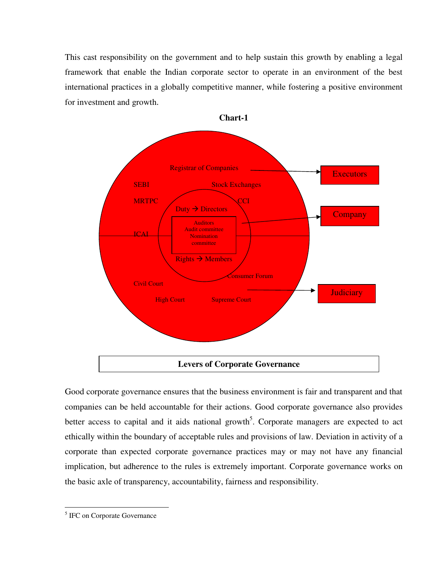This cast responsibility on the government and to help sustain this growth by enabling a legal framework that enable the Indian corporate sector to operate in an environment of the best international practices in a globally competitive manner, while fostering a positive environment for investment and growth.



Good corporate governance ensures that the business environment is fair and transparent and that companies can be held accountable for their actions. Good corporate governance also provides better access to capital and it aids national growth<sup>5</sup>. Corporate managers are expected to act ethically within the boundary of acceptable rules and provisions of law. Deviation in activity of a corporate than expected corporate governance practices may or may not have any financial implication, but adherence to the rules is extremely important. Corporate governance works on the basic axle of transparency, accountability, fairness and responsibility.

<sup>&</sup>lt;sup>5</sup> IFC on Corporate Governance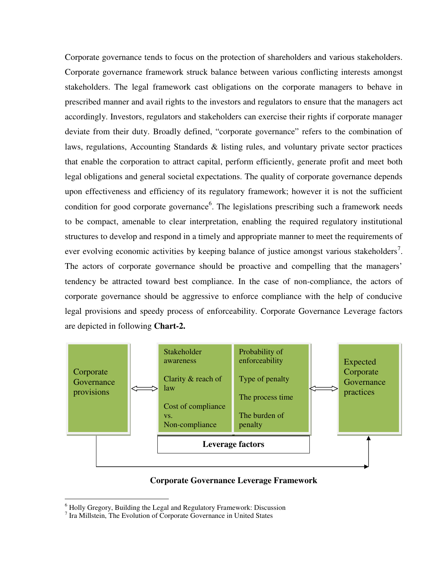Corporate governance tends to focus on the protection of shareholders and various stakeholders. Corporate governance framework struck balance between various conflicting interests amongst stakeholders. The legal framework cast obligations on the corporate managers to behave in prescribed manner and avail rights to the investors and regulators to ensure that the managers act accordingly. Investors, regulators and stakeholders can exercise their rights if corporate manager deviate from their duty. Broadly defined, "corporate governance" refers to the combination of laws, regulations, Accounting Standards & listing rules, and voluntary private sector practices that enable the corporation to attract capital, perform efficiently, generate profit and meet both legal obligations and general societal expectations. The quality of corporate governance depends upon effectiveness and efficiency of its regulatory framework; however it is not the sufficient condition for good corporate governance<sup>6</sup>. The legislations prescribing such a framework needs to be compact, amenable to clear interpretation, enabling the required regulatory institutional structures to develop and respond in a timely and appropriate manner to meet the requirements of ever evolving economic activities by keeping balance of justice amongst various stakeholders<sup>7</sup>. The actors of corporate governance should be proactive and compelling that the managers' tendency be attracted toward best compliance. In the case of non-compliance, the actors of corporate governance should be aggressive to enforce compliance with the help of conducive legal provisions and speedy process of enforceability. Corporate Governance Leverage factors are depicted in following **Chart-2.**



#### **Corporate Governance Leverage Framework**

 $6$  Holly Gregory, Building the Legal and Regulatory Framework: Discussion

<sup>7</sup> Ira Millstein, The Evolution of Corporate Governance in United States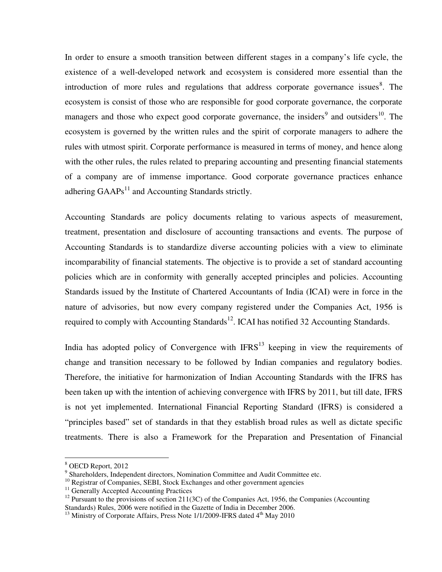In order to ensure a smooth transition between different stages in a company's life cycle, the existence of a well-developed network and ecosystem is considered more essential than the introduction of more rules and regulations that address corporate governance issues $\delta$ . The ecosystem is consist of those who are responsible for good corporate governance, the corporate managers and those who expect good corporate governance, the insiders<sup>9</sup> and outsiders<sup>10</sup>. The ecosystem is governed by the written rules and the spirit of corporate managers to adhere the rules with utmost spirit. Corporate performance is measured in terms of money, and hence along with the other rules, the rules related to preparing accounting and presenting financial statements of a company are of immense importance. Good corporate governance practices enhance adhering  $GAAPs<sup>11</sup>$  and Accounting Standards strictly.

Accounting Standards are policy documents relating to various aspects of measurement, treatment, presentation and disclosure of accounting transactions and events. The purpose of Accounting Standards is to standardize diverse accounting policies with a view to eliminate incomparability of financial statements. The objective is to provide a set of standard accounting policies which are in conformity with generally accepted principles and policies. Accounting Standards issued by the Institute of Chartered Accountants of India (ICAI) were in force in the nature of advisories, but now every company registered under the Companies Act, 1956 is required to comply with Accounting Standards<sup>12</sup>. ICAI has notified 32 Accounting Standards.

India has adopted policy of Convergence with  $IFRS<sup>13</sup>$  keeping in view the requirements of change and transition necessary to be followed by Indian companies and regulatory bodies. Therefore, the initiative for harmonization of Indian Accounting Standards with the IFRS has been taken up with the intention of achieving convergence with IFRS by 2011, but till date, IFRS is not yet implemented. International Financial Reporting Standard (IFRS) is considered a "principles based" set of standards in that they establish broad rules as well as dictate specific treatments. There is also a Framework for the Preparation and Presentation of Financial

<sup>8</sup> OECD Report, 2012

<sup>&</sup>lt;sup>9</sup> Shareholders, Independent directors, Nomination Committee and Audit Committee etc.

<sup>&</sup>lt;sup>10</sup> Registrar of Companies, SEBI, Stock Exchanges and other government agencies

<sup>&</sup>lt;sup>11</sup> Generally Accepted Accounting Practices

<sup>&</sup>lt;sup>12</sup> Pursuant to the provisions of section 211(3C) of the Companies Act, 1956, the Companies (Accounting Standards) Rules, 2006 were notified in the Gazette of India in December 2006.

<sup>&</sup>lt;sup>13</sup> Ministry of Corporate Affairs, Press Note 1/1/2009-IFRS dated 4<sup>th</sup> May 2010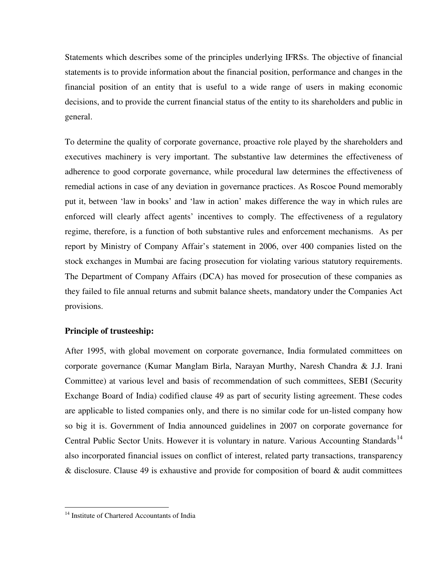Statements which describes some of the principles underlying IFRSs. The objective of financial statements is to provide information about the financial position, performance and changes in the financial position of an entity that is useful to a wide range of users in making economic decisions, and to provide the current financial status of the entity to its shareholders and public in general.

To determine the quality of corporate governance, proactive role played by the shareholders and executives machinery is very important. The substantive law determines the effectiveness of adherence to good corporate governance, while procedural law determines the effectiveness of remedial actions in case of any deviation in governance practices. As Roscoe Pound memorably put it, between 'law in books' and 'law in action' makes difference the way in which rules are enforced will clearly affect agents' incentives to comply. The effectiveness of a regulatory regime, therefore, is a function of both substantive rules and enforcement mechanisms. As per report by Ministry of Company Affair's statement in 2006, over 400 companies listed on the stock exchanges in Mumbai are facing prosecution for violating various statutory requirements. The Department of Company Affairs (DCA) has moved for prosecution of these companies as they failed to file annual returns and submit balance sheets, mandatory under the Companies Act provisions.

## **Principle of trusteeship:**

After 1995, with global movement on corporate governance, India formulated committees on corporate governance (Kumar Manglam Birla, Narayan Murthy, Naresh Chandra & J.J. Irani Committee) at various level and basis of recommendation of such committees, SEBI (Security Exchange Board of India) codified clause 49 as part of security listing agreement. These codes are applicable to listed companies only, and there is no similar code for un-listed company how so big it is. Government of India announced guidelines in 2007 on corporate governance for Central Public Sector Units. However it is voluntary in nature. Various Accounting Standards<sup>14</sup> also incorporated financial issues on conflict of interest, related party transactions, transparency & disclosure. Clause 49 is exhaustive and provide for composition of board  $\&$  audit committees

<sup>&</sup>lt;sup>14</sup> Institute of Chartered Accountants of India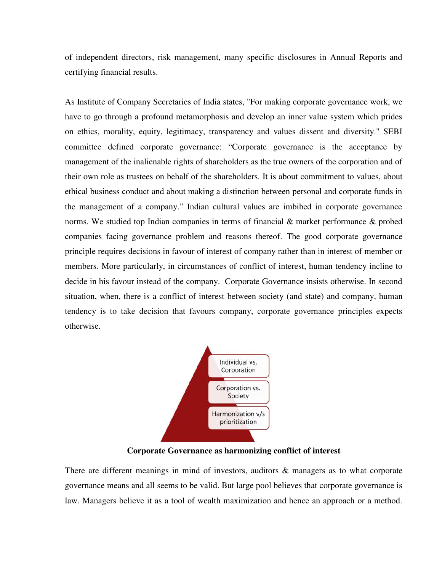of independent directors, risk management, many specific disclosures in Annual Reports and certifying financial results.

As Institute of Company Secretaries of India states, "For making corporate governance work, we have to go through a profound metamorphosis and develop an inner value system which prides on ethics, morality, equity, legitimacy, transparency and values dissent and diversity." SEBI committee defined corporate governance: "Corporate governance is the acceptance by management of the inalienable rights of shareholders as the true owners of the corporation and of their own role as trustees on behalf of the shareholders. It is about commitment to values, about ethical business conduct and about making a distinction between personal and corporate funds in the management of a company." Indian cultural values are imbibed in corporate governance norms. We studied top Indian companies in terms of financial & market performance & probed companies facing governance problem and reasons thereof. The good corporate governance principle requires decisions in favour of interest of company rather than in interest of member or members. More particularly, in circumstances of conflict of interest, human tendency incline to decide in his favour instead of the company. Corporate Governance insists otherwise. In second situation, when, there is a conflict of interest between society (and state) and company, human tendency is to take decision that favours company, corporate governance principles expects otherwise.



**Corporate Governance as harmonizing conflict of interest**

There are different meanings in mind of investors, auditors & managers as to what corporate governance means and all seems to be valid. But large pool believes that corporate governance is law. Managers believe it as a tool of wealth maximization and hence an approach or a method.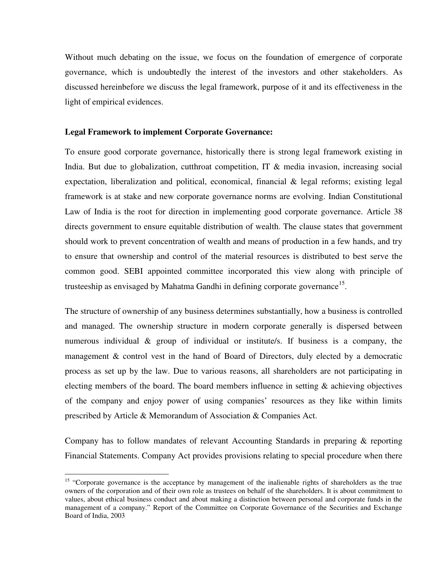Without much debating on the issue, we focus on the foundation of emergence of corporate governance, which is undoubtedly the interest of the investors and other stakeholders. As discussed hereinbefore we discuss the legal framework, purpose of it and its effectiveness in the light of empirical evidences.

#### **Legal Framework to implement Corporate Governance:**

To ensure good corporate governance, historically there is strong legal framework existing in India. But due to globalization, cutthroat competition, IT & media invasion, increasing social expectation, liberalization and political, economical, financial  $\&$  legal reforms; existing legal framework is at stake and new corporate governance norms are evolving. Indian Constitutional Law of India is the root for direction in implementing good corporate governance. Article 38 directs government to ensure equitable distribution of wealth. The clause states that government should work to prevent concentration of wealth and means of production in a few hands, and try to ensure that ownership and control of the material resources is distributed to best serve the common good. SEBI appointed committee incorporated this view along with principle of trusteeship as envisaged by Mahatma Gandhi in defining corporate governance<sup>15</sup>.

The structure of ownership of any business determines substantially, how a business is controlled and managed. The ownership structure in modern corporate generally is dispersed between numerous individual & group of individual or institute/s. If business is a company, the management & control vest in the hand of Board of Directors, duly elected by a democratic process as set up by the law. Due to various reasons, all shareholders are not participating in electing members of the board. The board members influence in setting & achieving objectives of the company and enjoy power of using companies' resources as they like within limits prescribed by Article & Memorandum of Association & Companies Act.

Company has to follow mandates of relevant Accounting Standards in preparing & reporting Financial Statements. Company Act provides provisions relating to special procedure when there

<sup>&</sup>lt;sup>15</sup> "Corporate governance is the acceptance by management of the inalienable rights of shareholders as the true owners of the corporation and of their own role as trustees on behalf of the shareholders. It is about commitment to values, about ethical business conduct and about making a distinction between personal and corporate funds in the management of a company." Report of the Committee on Corporate Governance of the Securities and Exchange Board of India, 2003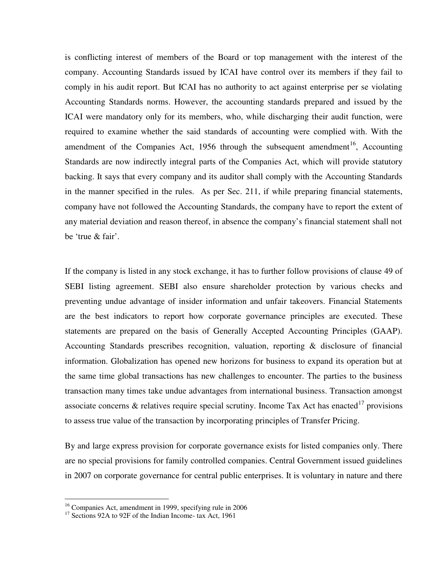is conflicting interest of members of the Board or top management with the interest of the company. Accounting Standards issued by ICAI have control over its members if they fail to comply in his audit report. But ICAI has no authority to act against enterprise per se violating Accounting Standards norms. However, the accounting standards prepared and issued by the ICAI were mandatory only for its members, who, while discharging their audit function, were required to examine whether the said standards of accounting were complied with. With the amendment of the Companies Act, 1956 through the subsequent amendment<sup>16</sup>, Accounting Standards are now indirectly integral parts of the Companies Act, which will provide statutory backing. It says that every company and its auditor shall comply with the Accounting Standards in the manner specified in the rules. As per Sec. 211, if while preparing financial statements, company have not followed the Accounting Standards, the company have to report the extent of any material deviation and reason thereof, in absence the company's financial statement shall not be 'true & fair'.

If the company is listed in any stock exchange, it has to further follow provisions of clause 49 of SEBI listing agreement. SEBI also ensure shareholder protection by various checks and preventing undue advantage of insider information and unfair takeovers. Financial Statements are the best indicators to report how corporate governance principles are executed. These statements are prepared on the basis of Generally Accepted Accounting Principles (GAAP). Accounting Standards prescribes recognition, valuation, reporting & disclosure of financial information. Globalization has opened new horizons for business to expand its operation but at the same time global transactions has new challenges to encounter. The parties to the business transaction many times take undue advantages from international business. Transaction amongst associate concerns  $\&$  relatives require special scrutiny. Income Tax Act has enacted<sup>17</sup> provisions to assess true value of the transaction by incorporating principles of Transfer Pricing.

By and large express provision for corporate governance exists for listed companies only. There are no special provisions for family controlled companies. Central Government issued guidelines in 2007 on corporate governance for central public enterprises. It is voluntary in nature and there

<sup>&</sup>lt;sup>16</sup> Companies Act, amendment in 1999, specifying rule in 2006

<sup>&</sup>lt;sup>17</sup> Sections 92A to 92F of the Indian Income- tax Act, 1961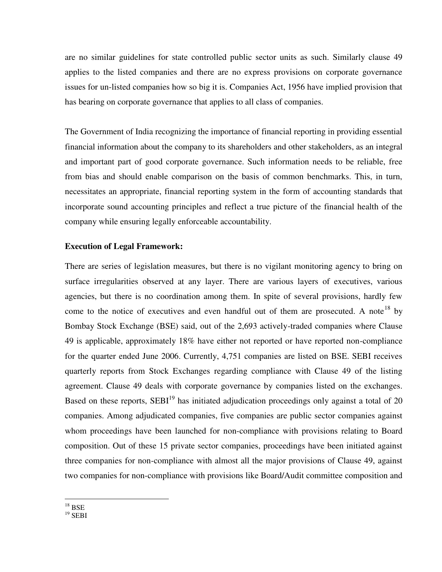are no similar guidelines for state controlled public sector units as such. Similarly clause 49 applies to the listed companies and there are no express provisions on corporate governance issues for un-listed companies how so big it is. Companies Act, 1956 have implied provision that has bearing on corporate governance that applies to all class of companies.

The Government of India recognizing the importance of financial reporting in providing essential financial information about the company to its shareholders and other stakeholders, as an integral and important part of good corporate governance. Such information needs to be reliable, free from bias and should enable comparison on the basis of common benchmarks. This, in turn, necessitates an appropriate, financial reporting system in the form of accounting standards that incorporate sound accounting principles and reflect a true picture of the financial health of the company while ensuring legally enforceable accountability.

#### **Execution of Legal Framework:**

There are series of legislation measures, but there is no vigilant monitoring agency to bring on surface irregularities observed at any layer. There are various layers of executives, various agencies, but there is no coordination among them. In spite of several provisions, hardly few come to the notice of executives and even handful out of them are prosecuted. A note<sup>18</sup> by Bombay Stock Exchange (BSE) said, out of the 2,693 actively-traded companies where Clause 49 is applicable, approximately 18% have either not reported or have reported non-compliance for the quarter ended June 2006. Currently, 4,751 companies are listed on BSE. SEBI receives quarterly reports from Stock Exchanges regarding compliance with Clause 49 of the listing agreement. Clause 49 deals with corporate governance by companies listed on the exchanges. Based on these reports,  $SEBI<sup>19</sup>$  has initiated adjudication proceedings only against a total of 20 companies. Among adjudicated companies, five companies are public sector companies against whom proceedings have been launched for non-compliance with provisions relating to Board composition. Out of these 15 private sector companies, proceedings have been initiated against three companies for non-compliance with almost all the major provisions of Clause 49, against two companies for non-compliance with provisions like Board/Audit committee composition and

 $^{19}$  SEBI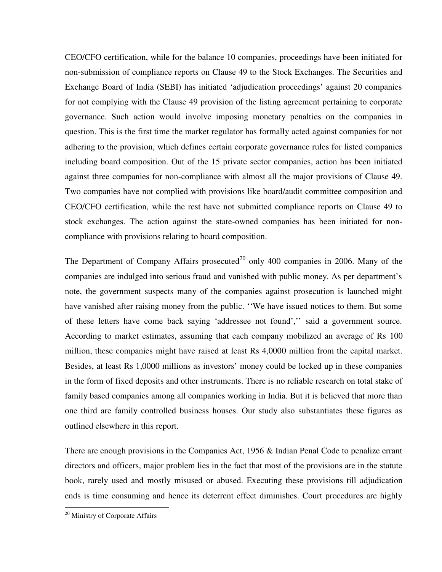CEO/CFO certification, while for the balance 10 companies, proceedings have been initiated for non-submission of compliance reports on Clause 49 to the Stock Exchanges. The Securities and Exchange Board of India (SEBI) has initiated 'adjudication proceedings' against 20 companies for not complying with the Clause 49 provision of the listing agreement pertaining to corporate governance. Such action would involve imposing monetary penalties on the companies in question. This is the first time the market regulator has formally acted against companies for not adhering to the provision, which defines certain corporate governance rules for listed companies including board composition. Out of the 15 private sector companies, action has been initiated against three companies for non-compliance with almost all the major provisions of Clause 49. Two companies have not complied with provisions like board/audit committee composition and CEO/CFO certification, while the rest have not submitted compliance reports on Clause 49 to stock exchanges. The action against the state-owned companies has been initiated for noncompliance with provisions relating to board composition.

The Department of Company Affairs prosecuted<sup>20</sup> only 400 companies in 2006. Many of the companies are indulged into serious fraud and vanished with public money. As per department's note, the government suspects many of the companies against prosecution is launched might have vanished after raising money from the public. ''We have issued notices to them. But some of these letters have come back saying 'addressee not found','' said a government source. According to market estimates, assuming that each company mobilized an average of Rs 100 million, these companies might have raised at least Rs 4,0000 million from the capital market. Besides, at least Rs 1,0000 millions as investors' money could be locked up in these companies in the form of fixed deposits and other instruments. There is no reliable research on total stake of family based companies among all companies working in India. But it is believed that more than one third are family controlled business houses. Our study also substantiates these figures as outlined elsewhere in this report.

There are enough provisions in the Companies Act, 1956 & Indian Penal Code to penalize errant directors and officers, major problem lies in the fact that most of the provisions are in the statute book, rarely used and mostly misused or abused. Executing these provisions till adjudication ends is time consuming and hence its deterrent effect diminishes. Court procedures are highly

<sup>&</sup>lt;sup>20</sup> Ministry of Corporate Affairs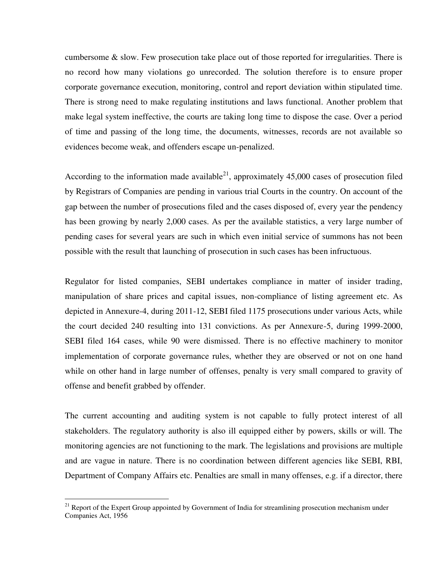cumbersome & slow. Few prosecution take place out of those reported for irregularities. There is no record how many violations go unrecorded. The solution therefore is to ensure proper corporate governance execution, monitoring, control and report deviation within stipulated time. There is strong need to make regulating institutions and laws functional. Another problem that make legal system ineffective, the courts are taking long time to dispose the case. Over a period of time and passing of the long time, the documents, witnesses, records are not available so evidences become weak, and offenders escape un-penalized.

According to the information made available<sup>21</sup>, approximately 45,000 cases of prosecution filed by Registrars of Companies are pending in various trial Courts in the country. On account of the gap between the number of prosecutions filed and the cases disposed of, every year the pendency has been growing by nearly 2,000 cases. As per the available statistics, a very large number of pending cases for several years are such in which even initial service of summons has not been possible with the result that launching of prosecution in such cases has been infructuous.

Regulator for listed companies, SEBI undertakes compliance in matter of insider trading, manipulation of share prices and capital issues, non-compliance of listing agreement etc. As depicted in Annexure-4, during 2011-12, SEBI filed 1175 prosecutions under various Acts, while the court decided 240 resulting into 131 convictions. As per Annexure-5, during 1999-2000, SEBI filed 164 cases, while 90 were dismissed. There is no effective machinery to monitor implementation of corporate governance rules, whether they are observed or not on one hand while on other hand in large number of offenses, penalty is very small compared to gravity of offense and benefit grabbed by offender.

The current accounting and auditing system is not capable to fully protect interest of all stakeholders. The regulatory authority is also ill equipped either by powers, skills or will. The monitoring agencies are not functioning to the mark. The legislations and provisions are multiple and are vague in nature. There is no coordination between different agencies like SEBI, RBI, Department of Company Affairs etc. Penalties are small in many offenses, e.g. if a director, there

<sup>&</sup>lt;sup>21</sup> Report of the Expert Group appointed by Government of India for streamlining prosecution mechanism under Companies Act, 1956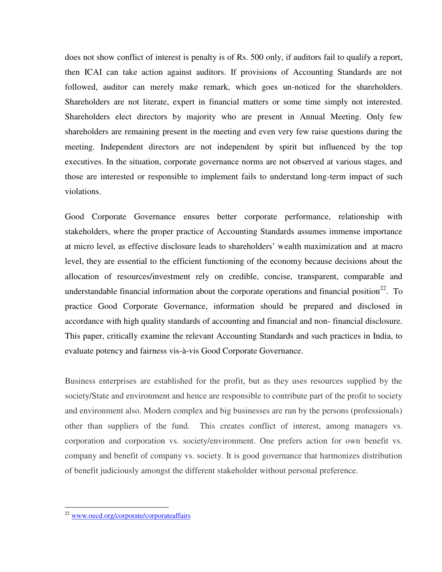does not show conflict of interest is penalty is of Rs. 500 only, if auditors fail to qualify a report, then ICAI can take action against auditors. If provisions of Accounting Standards are not followed, auditor can merely make remark, which goes un-noticed for the shareholders. Shareholders are not literate, expert in financial matters or some time simply not interested. Shareholders elect directors by majority who are present in Annual Meeting. Only few shareholders are remaining present in the meeting and even very few raise questions during the meeting. Independent directors are not independent by spirit but influenced by the top executives. In the situation, corporate governance norms are not observed at various stages, and those are interested or responsible to implement fails to understand long-term impact of such violations.

Good Corporate Governance ensures better corporate performance, relationship with stakeholders, where the proper practice of Accounting Standards assumes immense importance at micro level, as effective disclosure leads to shareholders' wealth maximization and at macro level, they are essential to the efficient functioning of the economy because decisions about the allocation of resources/investment rely on credible, concise, transparent, comparable and understandable financial information about the corporate operations and financial position<sup>22</sup>. To practice Good Corporate Governance, information should be prepared and disclosed in accordance with high quality standards of accounting and financial and non- financial disclosure. This paper, critically examine the relevant Accounting Standards and such practices in India, to evaluate potency and fairness vis-à-vis Good Corporate Governance.

Business enterprises are established for the profit, but as they uses resources supplied by the society/State and environment and hence are responsible to contribute part of the profit to society and environment also. Modern complex and big businesses are run by the persons (professionals) other than suppliers of the fund. This creates conflict of interest, among managers vs. corporation and corporation vs. society/environment. One prefers action for own benefit vs. company and benefit of company vs. society. It is good governance that harmonizes distribution of benefit judiciously amongst the different stakeholder without personal preference.

<sup>22</sup> www.oecd.org/corporate/corporateaffairs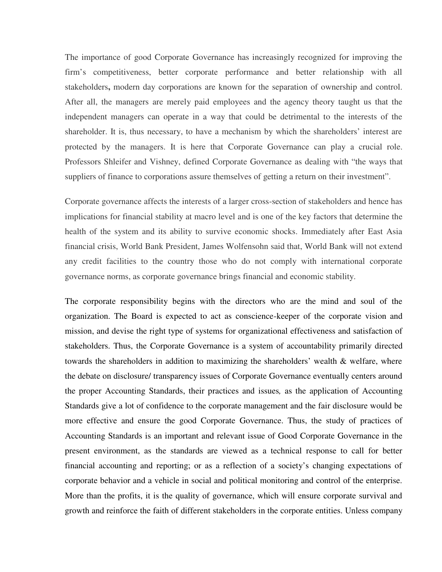The importance of good Corporate Governance has increasingly recognized for improving the firm's competitiveness, better corporate performance and better relationship with all stakeholders**,** modern day corporations are known for the separation of ownership and control. After all, the managers are merely paid employees and the agency theory taught us that the independent managers can operate in a way that could be detrimental to the interests of the shareholder. It is, thus necessary, to have a mechanism by which the shareholders' interest are protected by the managers. It is here that Corporate Governance can play a crucial role. Professors Shleifer and Vishney, defined Corporate Governance as dealing with "the ways that suppliers of finance to corporations assure themselves of getting a return on their investment".

Corporate governance affects the interests of a larger cross-section of stakeholders and hence has implications for financial stability at macro level and is one of the key factors that determine the health of the system and its ability to survive economic shocks. Immediately after East Asia financial crisis, World Bank President, James Wolfensohn said that, World Bank will not extend any credit facilities to the country those who do not comply with international corporate governance norms, as corporate governance brings financial and economic stability.

The corporate responsibility begins with the directors who are the mind and soul of the organization. The Board is expected to act as conscience-keeper of the corporate vision and mission, and devise the right type of systems for organizational effectiveness and satisfaction of stakeholders. Thus, the Corporate Governance is a system of accountability primarily directed towards the shareholders in addition to maximizing the shareholders' wealth & welfare, where the debate on disclosure/ transparency issues of Corporate Governance eventually centers around the proper Accounting Standards, their practices and issues*,* as the application of Accounting Standards give a lot of confidence to the corporate management and the fair disclosure would be more effective and ensure the good Corporate Governance. Thus, the study of practices of Accounting Standards is an important and relevant issue of Good Corporate Governance in the present environment, as the standards are viewed as a technical response to call for better financial accounting and reporting; or as a reflection of a society's changing expectations of corporate behavior and a vehicle in social and political monitoring and control of the enterprise. More than the profits, it is the quality of governance, which will ensure corporate survival and growth and reinforce the faith of different stakeholders in the corporate entities. Unless company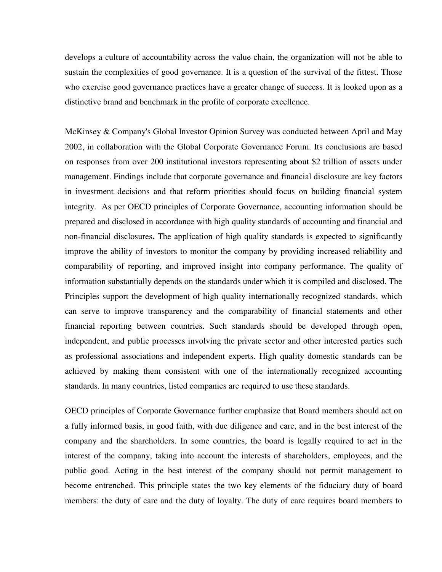develops a culture of accountability across the value chain, the organization will not be able to sustain the complexities of good governance. It is a question of the survival of the fittest. Those who exercise good governance practices have a greater change of success. It is looked upon as a distinctive brand and benchmark in the profile of corporate excellence.

McKinsey & Company's Global Investor Opinion Survey was conducted between April and May 2002, in collaboration with the Global Corporate Governance Forum. Its conclusions are based on responses from over 200 institutional investors representing about \$2 trillion of assets under management. Findings include that corporate governance and financial disclosure are key factors in investment decisions and that reform priorities should focus on building financial system integrity. As per OECD principles of Corporate Governance, accounting information should be prepared and disclosed in accordance with high quality standards of accounting and financial and non-financial disclosures**.** The application of high quality standards is expected to significantly improve the ability of investors to monitor the company by providing increased reliability and comparability of reporting, and improved insight into company performance. The quality of information substantially depends on the standards under which it is compiled and disclosed. The Principles support the development of high quality internationally recognized standards, which can serve to improve transparency and the comparability of financial statements and other financial reporting between countries. Such standards should be developed through open, independent, and public processes involving the private sector and other interested parties such as professional associations and independent experts. High quality domestic standards can be achieved by making them consistent with one of the internationally recognized accounting standards. In many countries, listed companies are required to use these standards.

OECD principles of Corporate Governance further emphasize that Board members should act on a fully informed basis, in good faith, with due diligence and care, and in the best interest of the company and the shareholders. In some countries, the board is legally required to act in the interest of the company, taking into account the interests of shareholders, employees, and the public good. Acting in the best interest of the company should not permit management to become entrenched. This principle states the two key elements of the fiduciary duty of board members: the duty of care and the duty of loyalty. The duty of care requires board members to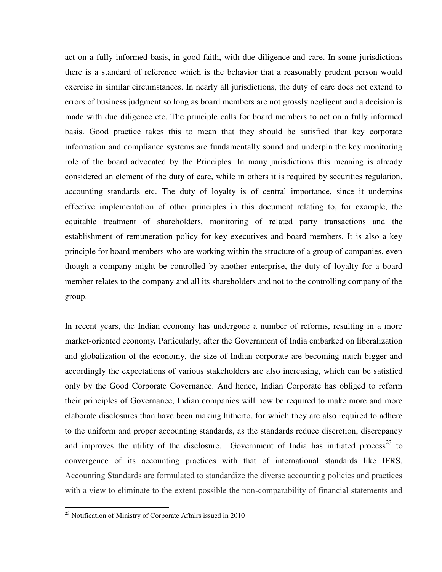act on a fully informed basis, in good faith, with due diligence and care. In some jurisdictions there is a standard of reference which is the behavior that a reasonably prudent person would exercise in similar circumstances. In nearly all jurisdictions, the duty of care does not extend to errors of business judgment so long as board members are not grossly negligent and a decision is made with due diligence etc. The principle calls for board members to act on a fully informed basis. Good practice takes this to mean that they should be satisfied that key corporate information and compliance systems are fundamentally sound and underpin the key monitoring role of the board advocated by the Principles. In many jurisdictions this meaning is already considered an element of the duty of care, while in others it is required by securities regulation, accounting standards etc. The duty of loyalty is of central importance, since it underpins effective implementation of other principles in this document relating to, for example, the equitable treatment of shareholders, monitoring of related party transactions and the establishment of remuneration policy for key executives and board members. It is also a key principle for board members who are working within the structure of a group of companies, even though a company might be controlled by another enterprise, the duty of loyalty for a board member relates to the company and all its shareholders and not to the controlling company of the group.

In recent years, the Indian economy has undergone a number of reforms, resulting in a more market-oriented economy*.* Particularly, after the Government of India embarked on liberalization and globalization of the economy, the size of Indian corporate are becoming much bigger and accordingly the expectations of various stakeholders are also increasing, which can be satisfied only by the Good Corporate Governance. And hence, Indian Corporate has obliged to reform their principles of Governance, Indian companies will now be required to make more and more elaborate disclosures than have been making hitherto, for which they are also required to adhere to the uniform and proper accounting standards, as the standards reduce discretion, discrepancy and improves the utility of the disclosure. Government of India has initiated process<sup>23</sup> to convergence of its accounting practices with that of international standards like IFRS. Accounting Standards are formulated to standardize the diverse accounting policies and practices with a view to eliminate to the extent possible the non-comparability of financial statements and

 $23$  Notification of Ministry of Corporate Affairs issued in 2010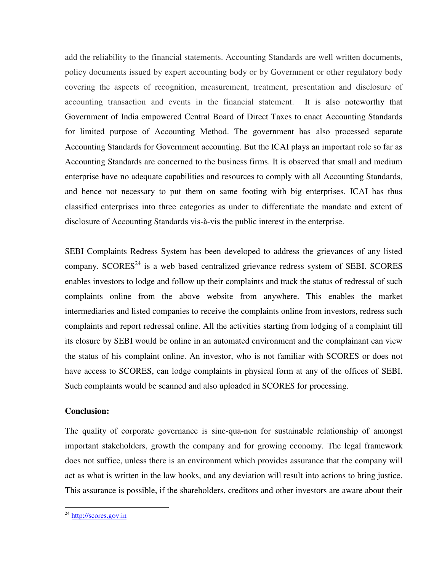add the reliability to the financial statements. Accounting Standards are well written documents, policy documents issued by expert accounting body or by Government or other regulatory body covering the aspects of recognition, measurement, treatment, presentation and disclosure of accounting transaction and events in the financial statement. It is also noteworthy that Government of India empowered Central Board of Direct Taxes to enact Accounting Standards for limited purpose of Accounting Method. The government has also processed separate Accounting Standards for Government accounting. But the ICAI plays an important role so far as Accounting Standards are concerned to the business firms. It is observed that small and medium enterprise have no adequate capabilities and resources to comply with all Accounting Standards, and hence not necessary to put them on same footing with big enterprises. ICAI has thus classified enterprises into three categories as under to differentiate the mandate and extent of disclosure of Accounting Standards vis-à-vis the public interest in the enterprise.

SEBI Complaints Redress System has been developed to address the grievances of any listed company. SCORES<sup>24</sup> is a web based centralized grievance redress system of SEBI. SCORES enables investors to lodge and follow up their complaints and track the status of redressal of such complaints online from the above website from anywhere. This enables the market intermediaries and listed companies to receive the complaints online from investors, redress such complaints and report redressal online. All the activities starting from lodging of a complaint till its closure by SEBI would be online in an automated environment and the complainant can view the status of his complaint online. An investor, who is not familiar with SCORES or does not have access to SCORES, can lodge complaints in physical form at any of the offices of SEBI. Such complaints would be scanned and also uploaded in SCORES for processing.

#### **Conclusion:**

The quality of corporate governance is sine-qua-non for sustainable relationship of amongst important stakeholders, growth the company and for growing economy. The legal framework does not suffice, unless there is an environment which provides assurance that the company will act as what is written in the law books, and any deviation will result into actions to bring justice. This assurance is possible, if the shareholders, creditors and other investors are aware about their

<sup>24</sup> http://scores.gov.in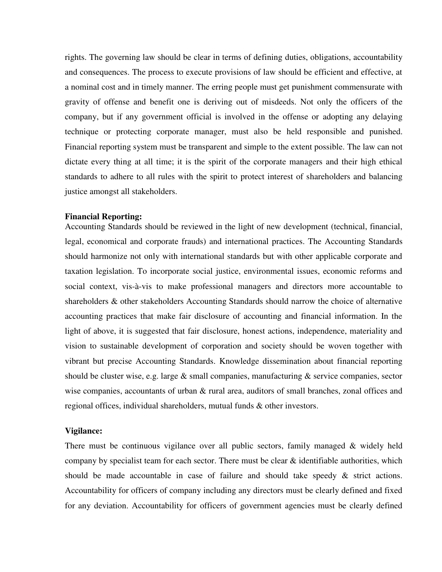rights. The governing law should be clear in terms of defining duties, obligations, accountability and consequences. The process to execute provisions of law should be efficient and effective, at a nominal cost and in timely manner. The erring people must get punishment commensurate with gravity of offense and benefit one is deriving out of misdeeds. Not only the officers of the company, but if any government official is involved in the offense or adopting any delaying technique or protecting corporate manager, must also be held responsible and punished. Financial reporting system must be transparent and simple to the extent possible. The law can not dictate every thing at all time; it is the spirit of the corporate managers and their high ethical standards to adhere to all rules with the spirit to protect interest of shareholders and balancing justice amongst all stakeholders.

#### **Financial Reporting:**

Accounting Standards should be reviewed in the light of new development (technical, financial, legal, economical and corporate frauds) and international practices. The Accounting Standards should harmonize not only with international standards but with other applicable corporate and taxation legislation. To incorporate social justice, environmental issues, economic reforms and social context, vis-à-vis to make professional managers and directors more accountable to shareholders & other stakeholders Accounting Standards should narrow the choice of alternative accounting practices that make fair disclosure of accounting and financial information. In the light of above, it is suggested that fair disclosure, honest actions, independence, materiality and vision to sustainable development of corporation and society should be woven together with vibrant but precise Accounting Standards. Knowledge dissemination about financial reporting should be cluster wise, e.g. large  $\&$  small companies, manufacturing  $\&$  service companies, sector wise companies, accountants of urban & rural area, auditors of small branches, zonal offices and regional offices, individual shareholders, mutual funds & other investors.

#### **Vigilance:**

There must be continuous vigilance over all public sectors, family managed & widely held company by specialist team for each sector. There must be clear & identifiable authorities, which should be made accountable in case of failure and should take speedy  $\&$  strict actions. Accountability for officers of company including any directors must be clearly defined and fixed for any deviation. Accountability for officers of government agencies must be clearly defined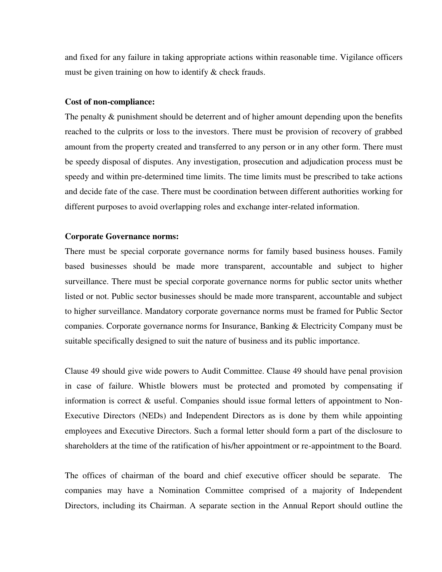and fixed for any failure in taking appropriate actions within reasonable time. Vigilance officers must be given training on how to identify & check frauds.

#### **Cost of non-compliance:**

The penalty  $\&$  punishment should be deterrent and of higher amount depending upon the benefits reached to the culprits or loss to the investors. There must be provision of recovery of grabbed amount from the property created and transferred to any person or in any other form. There must be speedy disposal of disputes. Any investigation, prosecution and adjudication process must be speedy and within pre-determined time limits. The time limits must be prescribed to take actions and decide fate of the case. There must be coordination between different authorities working for different purposes to avoid overlapping roles and exchange inter-related information.

#### **Corporate Governance norms:**

There must be special corporate governance norms for family based business houses. Family based businesses should be made more transparent, accountable and subject to higher surveillance. There must be special corporate governance norms for public sector units whether listed or not. Public sector businesses should be made more transparent, accountable and subject to higher surveillance. Mandatory corporate governance norms must be framed for Public Sector companies. Corporate governance norms for Insurance, Banking & Electricity Company must be suitable specifically designed to suit the nature of business and its public importance.

Clause 49 should give wide powers to Audit Committee. Clause 49 should have penal provision in case of failure. Whistle blowers must be protected and promoted by compensating if information is correct & useful. Companies should issue formal letters of appointment to Non-Executive Directors (NEDs) and Independent Directors as is done by them while appointing employees and Executive Directors. Such a formal letter should form a part of the disclosure to shareholders at the time of the ratification of his/her appointment or re-appointment to the Board.

The offices of chairman of the board and chief executive officer should be separate. The companies may have a Nomination Committee comprised of a majority of Independent Directors, including its Chairman. A separate section in the Annual Report should outline the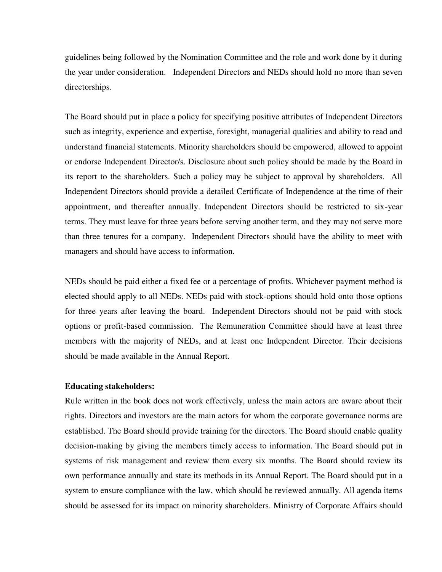guidelines being followed by the Nomination Committee and the role and work done by it during the year under consideration. Independent Directors and NEDs should hold no more than seven directorships.

The Board should put in place a policy for specifying positive attributes of Independent Directors such as integrity, experience and expertise, foresight, managerial qualities and ability to read and understand financial statements. Minority shareholders should be empowered, allowed to appoint or endorse Independent Director/s. Disclosure about such policy should be made by the Board in its report to the shareholders. Such a policy may be subject to approval by shareholders. All Independent Directors should provide a detailed Certificate of Independence at the time of their appointment, and thereafter annually. Independent Directors should be restricted to six-year terms. They must leave for three years before serving another term, and they may not serve more than three tenures for a company. Independent Directors should have the ability to meet with managers and should have access to information.

NEDs should be paid either a fixed fee or a percentage of profits. Whichever payment method is elected should apply to all NEDs. NEDs paid with stock-options should hold onto those options for three years after leaving the board. Independent Directors should not be paid with stock options or profit-based commission. The Remuneration Committee should have at least three members with the majority of NEDs, and at least one Independent Director. Their decisions should be made available in the Annual Report.

#### **Educating stakeholders:**

Rule written in the book does not work effectively, unless the main actors are aware about their rights. Directors and investors are the main actors for whom the corporate governance norms are established. The Board should provide training for the directors. The Board should enable quality decision-making by giving the members timely access to information. The Board should put in systems of risk management and review them every six months. The Board should review its own performance annually and state its methods in its Annual Report. The Board should put in a system to ensure compliance with the law, which should be reviewed annually. All agenda items should be assessed for its impact on minority shareholders. Ministry of Corporate Affairs should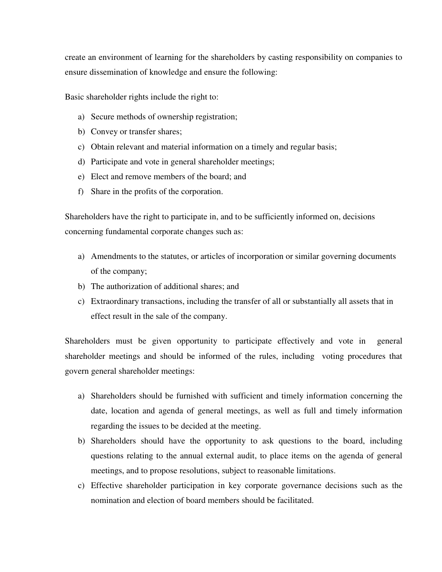create an environment of learning for the shareholders by casting responsibility on companies to ensure dissemination of knowledge and ensure the following:

Basic shareholder rights include the right to:

- a) Secure methods of ownership registration;
- b) Convey or transfer shares;
- c) Obtain relevant and material information on a timely and regular basis;
- d) Participate and vote in general shareholder meetings;
- e) Elect and remove members of the board; and
- f) Share in the profits of the corporation.

Shareholders have the right to participate in, and to be sufficiently informed on, decisions concerning fundamental corporate changes such as:

- a) Amendments to the statutes, or articles of incorporation or similar governing documents of the company;
- b) The authorization of additional shares; and
- c) Extraordinary transactions, including the transfer of all or substantially all assets that in effect result in the sale of the company.

Shareholders must be given opportunity to participate effectively and vote in general shareholder meetings and should be informed of the rules, including voting procedures that govern general shareholder meetings:

- a) Shareholders should be furnished with sufficient and timely information concerning the date, location and agenda of general meetings, as well as full and timely information regarding the issues to be decided at the meeting.
- b) Shareholders should have the opportunity to ask questions to the board, including questions relating to the annual external audit, to place items on the agenda of general meetings, and to propose resolutions, subject to reasonable limitations.
- c) Effective shareholder participation in key corporate governance decisions such as the nomination and election of board members should be facilitated.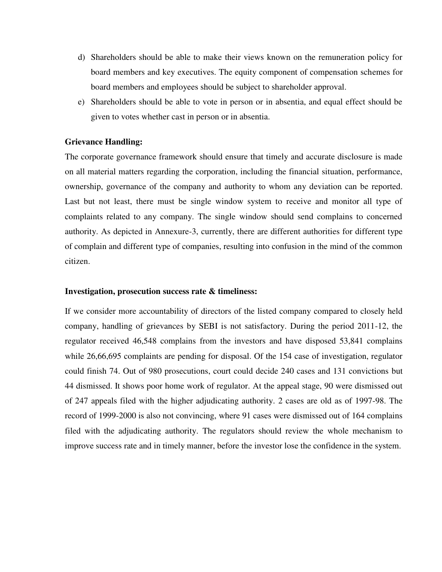- d) Shareholders should be able to make their views known on the remuneration policy for board members and key executives. The equity component of compensation schemes for board members and employees should be subject to shareholder approval.
- e) Shareholders should be able to vote in person or in absentia, and equal effect should be given to votes whether cast in person or in absentia.

#### **Grievance Handling:**

The corporate governance framework should ensure that timely and accurate disclosure is made on all material matters regarding the corporation, including the financial situation, performance, ownership, governance of the company and authority to whom any deviation can be reported. Last but not least, there must be single window system to receive and monitor all type of complaints related to any company. The single window should send complains to concerned authority. As depicted in Annexure-3, currently, there are different authorities for different type of complain and different type of companies, resulting into confusion in the mind of the common citizen.

#### **Investigation, prosecution success rate & timeliness:**

If we consider more accountability of directors of the listed company compared to closely held company, handling of grievances by SEBI is not satisfactory. During the period 2011-12, the regulator received 46,548 complains from the investors and have disposed 53,841 complains while 26,66,695 complaints are pending for disposal. Of the 154 case of investigation, regulator could finish 74. Out of 980 prosecutions, court could decide 240 cases and 131 convictions but 44 dismissed. It shows poor home work of regulator. At the appeal stage, 90 were dismissed out of 247 appeals filed with the higher adjudicating authority. 2 cases are old as of 1997-98. The record of 1999-2000 is also not convincing, where 91 cases were dismissed out of 164 complains filed with the adjudicating authority. The regulators should review the whole mechanism to improve success rate and in timely manner, before the investor lose the confidence in the system.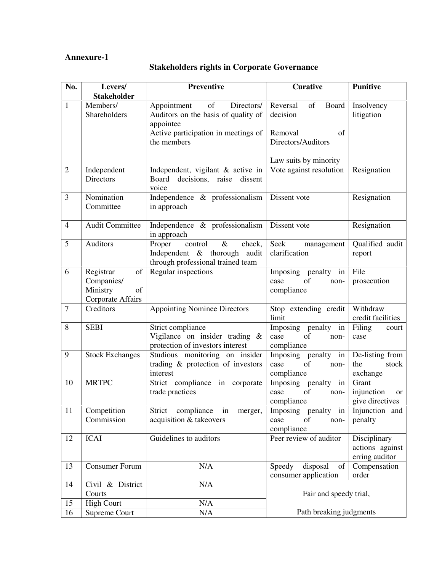# **Annexure-1**

# **Stakeholders rights in Corporate Governance**

| No.             | Levers/<br><b>Stakeholder</b>                                        | Preventive                                                                                                  | <b>Curative</b>                                            | <b>Punitive</b>                                     |
|-----------------|----------------------------------------------------------------------|-------------------------------------------------------------------------------------------------------------|------------------------------------------------------------|-----------------------------------------------------|
| $\mathbf{1}$    | Members/<br>Shareholders                                             | of<br>Appointment<br>Directors/<br>Auditors on the basis of quality of                                      | Reversal<br>of<br>Board<br>decision                        | Insolvency<br>litigation                            |
|                 |                                                                      | appointee<br>Active participation in meetings of<br>the members                                             | Removal<br>of<br>Directors/Auditors                        |                                                     |
|                 |                                                                      |                                                                                                             | Law suits by minority                                      |                                                     |
| $\overline{2}$  | Independent<br>Directors                                             | Independent, vigilant $&$ active in<br>Board decisions, raise<br>dissent<br>voice                           | Vote against resolution                                    | Resignation                                         |
| 3               | Nomination<br>Committee                                              | Independence & professionalism<br>in approach                                                               | Dissent vote                                               | Resignation                                         |
| $\overline{4}$  | <b>Audit Committee</b>                                               | Independence & professionalism<br>in approach                                                               | Dissent vote                                               | Resignation                                         |
| 5               | Auditors                                                             | $\&$<br>Proper<br>control<br>check,<br>Independent & thorough<br>audit<br>through professional trained team | Seek<br>management<br>clarification                        | Qualified audit<br>report                           |
| 6               | Registrar<br>of<br>Companies/<br>Ministry<br>of<br>Corporate Affairs | Regular inspections                                                                                         | Imposing penalty<br>in<br>of<br>case<br>non-<br>compliance | File<br>prosecution                                 |
| $\overline{7}$  | Creditors                                                            | <b>Appointing Nominee Directors</b>                                                                         | Stop extending credit<br>limit                             | Withdraw<br>credit facilities                       |
| 8               | <b>SEBI</b>                                                          | Strict compliance<br>Vigilance on insider trading &<br>protection of investors interest                     | Imposing penalty in<br>case<br>of<br>non-<br>compliance    | Filing<br>court<br>case                             |
| 9               | <b>Stock Exchanges</b>                                               | Studious monitoring on insider<br>trading & protection of investors<br>interest                             | Imposing penalty in<br>of<br>case<br>non-<br>compliance    | De-listing from<br>the<br>stock<br>exchange         |
| 10              | <b>MRTPC</b>                                                         | Strict compliance in corporate<br>trade practices                                                           | Imposing penalty in<br>of<br>case<br>non-<br>compliance    | Grant<br>injunction<br><b>or</b><br>give directives |
| $\overline{11}$ | Competition<br>Commission                                            | compliance<br>in<br>Strict<br>merger,<br>acquisition & takeovers                                            | Imposing penalty in<br>case<br>of<br>non-<br>compliance    | Injunction and<br>penalty                           |
| 12              | <b>ICAI</b>                                                          | Guidelines to auditors                                                                                      | Peer review of auditor                                     | Disciplinary<br>actions against<br>erring auditor   |
| 13              | <b>Consumer Forum</b>                                                | N/A                                                                                                         | Speedy<br>disposal<br>of<br>consumer application           | Compensation<br>order                               |
| 14              | Civil & District<br>Courts                                           | N/A                                                                                                         | Fair and speedy trial,                                     |                                                     |
| 15              | <b>High Court</b>                                                    | N/A                                                                                                         |                                                            |                                                     |
| 16              | Supreme Court                                                        | N/A                                                                                                         | Path breaking judgments                                    |                                                     |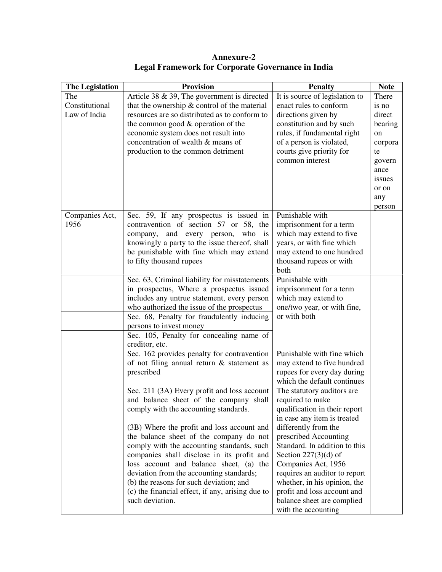**The Legislation Provision Provision Penalty Penalty Note** The Constitutional Law of India Article 38 & 39, The government is directed that the ownership & control of the material resources are so distributed as to conform to the common good & operation of the economic system does not result into concentration of wealth & means of production to the common detriment It is source of legislation to enact rules to conform directions given by constitution and by such rules, if fundamental right of a person is violated, courts give priority for common interest There is no direct bearing on corpora te govern ance issues or on any person Companies Act, 1956 Sec. 59, If any prospectus is issued in contravention of section 57 or 58, the company, and every person, who is knowingly a party to the issue thereof, shall be punishable with fine which may extend to fifty thousand rupees Punishable with imprisonment for a term which may extend to five years, or with fine which may extend to one hundred thousand rupees or with both Sec. 63, Criminal liability for misstatements in prospectus, Where a prospectus issued includes any untrue statement, every person who authorized the issue of the prospectus Punishable with imprisonment for a term which may extend to one/two year, or with fine, Sec. 68, Penalty for fraudulently inducing or with both persons to invest money Sec. 105, Penalty for concealing name of creditor, etc. Sec. 162 provides penalty for contravention of not filing annual return & statement as prescribed Punishable with fine which may extend to five hundred rupees for every day during which the default continues Sec. 211 (3A) Every profit and loss account and balance sheet of the company shall comply with the accounting standards. (3B) Where the profit and loss account and the balance sheet of the company do not comply with the accounting standards, such companies shall disclose in its profit and loss account and balance sheet, (a) the deviation from the accounting standards; (b) the reasons for such deviation; and (c) the financial effect, if any, arising due to such deviation. The statutory auditors are required to make qualification in their report in case any item is treated differently from the prescribed Accounting Standard. In addition to this Section 227(3)(d) of Companies Act, 1956 requires an auditor to report whether, in his opinion, the profit and loss account and balance sheet are complied with the accounting

**Annexure-2 Legal Framework for Corporate Governance in India**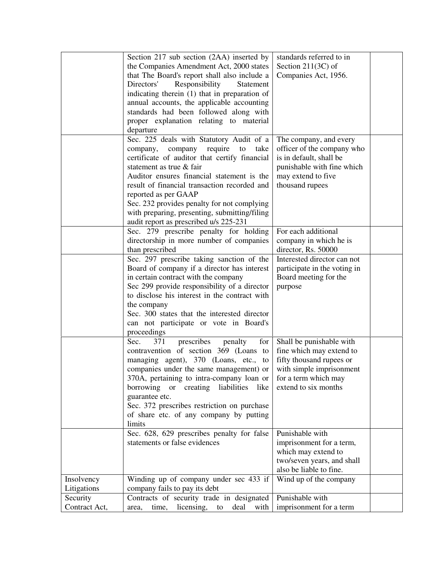|                           | Section 217 sub section (2AA) inserted by<br>the Companies Amendment Act, 2000 states<br>that The Board's report shall also include a<br>Directors'<br>Responsibility<br>Statement<br>indicating therein (1) that in preparation of<br>annual accounts, the applicable accounting<br>standards had been followed along with<br>proper explanation relating to material<br>departure                                                   | standards referred to in<br>Section 211(3C) of<br>Companies Act, 1956.                                                                                       |  |
|---------------------------|---------------------------------------------------------------------------------------------------------------------------------------------------------------------------------------------------------------------------------------------------------------------------------------------------------------------------------------------------------------------------------------------------------------------------------------|--------------------------------------------------------------------------------------------------------------------------------------------------------------|--|
|                           | Sec. 225 deals with Statutory Audit of a<br>require<br>take<br>company,<br>company<br>to<br>certificate of auditor that certify financial<br>statement as true & fair<br>Auditor ensures financial statement is the<br>result of financial transaction recorded and<br>reported as per GAAP<br>Sec. 232 provides penalty for not complying<br>with preparing, presenting, submitting/filing<br>audit report as prescribed u/s 225-231 | The company, and every<br>officer of the company who<br>is in default, shall be<br>punishable with fine which<br>may extend to five<br>thousand rupees       |  |
|                           | Sec. 279 prescribe penalty for holding<br>directorship in more number of companies<br>than prescribed                                                                                                                                                                                                                                                                                                                                 | For each additional<br>company in which he is<br>director, Rs. 50000                                                                                         |  |
|                           | Sec. 297 prescribe taking sanction of the<br>Board of company if a director has interest<br>in certain contract with the company<br>Sec 299 provide responsibility of a director<br>to disclose his interest in the contract with<br>the company<br>Sec. 300 states that the interested director<br>can not participate or vote in Board's<br>proceedings                                                                             | Interested director can not<br>participate in the voting in<br>Board meeting for the<br>purpose                                                              |  |
|                           | Sec.<br>prescribes<br>for<br>371<br>penalty<br>contravention of section 369 (Loans<br>to<br>managing agent), 370 (Loans, etc., to<br>companies under the same management) or<br>370A, pertaining to intra-company loan or<br>borrowing or<br>creating liabilities<br>like<br>guarantee etc.<br>Sec. 372 prescribes restriction on purchase<br>of share etc. of any company by putting<br>limits                                       | Shall be punishable with<br>fine which may extend to<br>fifty thousand rupees or<br>with simple imprisonment<br>for a term which may<br>extend to six months |  |
|                           | Sec. 628, 629 prescribes penalty for false<br>statements or false evidences                                                                                                                                                                                                                                                                                                                                                           | Punishable with<br>imprisonment for a term,<br>which may extend to<br>two/seven years, and shall<br>also be liable to fine.                                  |  |
| Insolvency<br>Litigations | Winding up of company under sec 433 if<br>company fails to pay its debt                                                                                                                                                                                                                                                                                                                                                               | Wind up of the company                                                                                                                                       |  |
| Security                  | Contracts of security trade in designated                                                                                                                                                                                                                                                                                                                                                                                             | Punishable with                                                                                                                                              |  |
| Contract Act,             | time,<br>licensing,<br>to<br>with<br>area,<br>deal                                                                                                                                                                                                                                                                                                                                                                                    | imprisonment for a term                                                                                                                                      |  |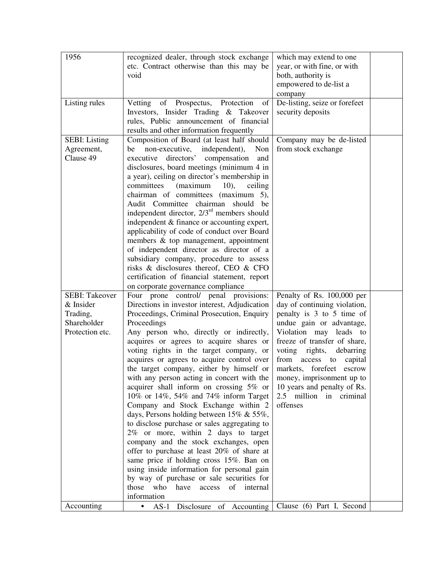| 1956                                                                                                                                | recognized dealer, through stock exchange<br>etc. Contract otherwise than this may be<br>void                                                                                                                                                                                                                                                                                                                                                                                                                                                                                                                                                                                                                                                                                                                                                                                                                                                                                                                                         | which may extend to one<br>year, or with fine, or with<br>both, authority is<br>empowered to de-list a<br>company                                                                                                                |  |
|-------------------------------------------------------------------------------------------------------------------------------------|---------------------------------------------------------------------------------------------------------------------------------------------------------------------------------------------------------------------------------------------------------------------------------------------------------------------------------------------------------------------------------------------------------------------------------------------------------------------------------------------------------------------------------------------------------------------------------------------------------------------------------------------------------------------------------------------------------------------------------------------------------------------------------------------------------------------------------------------------------------------------------------------------------------------------------------------------------------------------------------------------------------------------------------|----------------------------------------------------------------------------------------------------------------------------------------------------------------------------------------------------------------------------------|--|
| Listing rules                                                                                                                       | Vetting<br>of<br>Prospectus,<br>Protection<br>of<br>Investors, Insider Trading & Takeover<br>rules, Public announcement of financial<br>results and other information frequently                                                                                                                                                                                                                                                                                                                                                                                                                                                                                                                                                                                                                                                                                                                                                                                                                                                      | De-listing, seize or forefeet<br>security deposits                                                                                                                                                                               |  |
| <b>SEBI:</b> Listing<br>Agreement,<br>Clause 49<br><b>SEBI: Takeover</b><br>& Insider<br>Trading,<br>Shareholder<br>Protection etc. | Composition of Board (at least half should<br>non-executive,<br>independent),<br>Non<br>be<br>executive directors'<br>compensation<br>and<br>disclosures, board meetings (minimum 4 in<br>a year), ceiling on director's membership in<br>committees<br>(maximum<br>$(10)$ ,<br>ceiling<br>chairman of committees (maximum 5),<br>Audit Committee chairman should<br>be<br>independent director, $2/3^{rd}$ members should<br>independent & finance or accounting expert,<br>applicability of code of conduct over Board<br>members & top management, appointment<br>of independent director as director of a<br>subsidiary company, procedure to assess<br>risks & disclosures thereof, CEO & CFO<br>certification of financial statement, report<br>on corporate governance compliance<br>Four prone control/ penal provisions:<br>Directions in investor interest, Adjudication<br>Proceedings, Criminal Prosecution, Enquiry<br>Proceedings<br>Any person who, directly or indirectly,<br>acquires or agrees to acquire shares or | Company may be de-listed<br>from stock exchange<br>Penalty of Rs. 100,000 per<br>day of continuing violation,<br>penalty is 3 to 5 time of<br>undue gain or advantage,<br>Violation may leads to<br>freeze of transfer of share, |  |
|                                                                                                                                     | voting rights in the target company, or<br>acquires or agrees to acquire control over<br>the target company, either by himself or<br>with any person acting in concert with the<br>acquirer shall inform on crossing 5% or<br>10% or 14%, 54% and 74% inform Target<br>Company and Stock Exchange within 2<br>days, Persons holding between 15% & 55%,<br>to disclose purchase or sales aggregating to<br>2% or more, within 2 days to target<br>company and the stock exchanges, open<br>offer to purchase at least 20% of share at<br>same price if holding cross 15%. Ban on<br>using inside information for personal gain<br>by way of purchase or sale securities for<br>those<br>who have<br>access<br>of internal<br>information                                                                                                                                                                                                                                                                                               | voting<br>rights,<br>debarring<br>from<br>access<br>capital<br>to<br>markets, forefeet<br>escrow<br>money, imprisonment up to<br>10 years and penalty of Rs.<br>2.5 million in criminal<br>offenses                              |  |
| Accounting                                                                                                                          | $AS-1$<br>Disclosure<br>Accounting<br>of                                                                                                                                                                                                                                                                                                                                                                                                                                                                                                                                                                                                                                                                                                                                                                                                                                                                                                                                                                                              | Clause (6) Part I, Second                                                                                                                                                                                                        |  |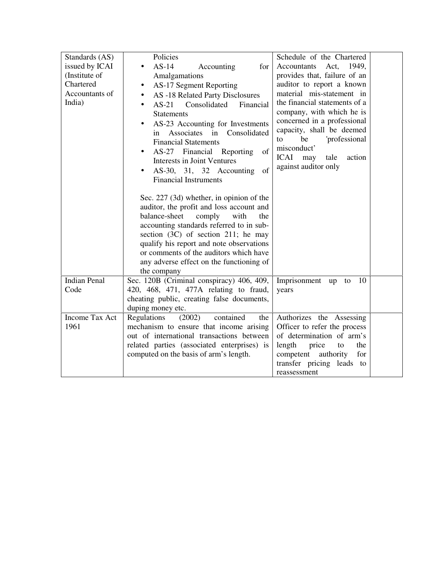| Standards (AS)<br>issued by ICAI<br>(Institute of<br>Chartered<br>Accountants of | Policies<br>$AS-14$<br>Accounting<br>for<br>Amalgamations<br>AS-17 Segment Reporting<br>AS-18 Related Party Disclosures                                                                                                                                                                                                                                            | Schedule of the Chartered<br>Accountants<br>1949,<br>Act,<br>provides that, failure of an<br>auditor to report a known<br>material mis-statement in                                                                                |  |
|----------------------------------------------------------------------------------|--------------------------------------------------------------------------------------------------------------------------------------------------------------------------------------------------------------------------------------------------------------------------------------------------------------------------------------------------------------------|------------------------------------------------------------------------------------------------------------------------------------------------------------------------------------------------------------------------------------|--|
| India)                                                                           | Consolidated<br>$AS-21$<br>Financial<br><b>Statements</b><br>AS-23 Accounting for Investments<br>Associates in Consolidated<br>in<br><b>Financial Statements</b><br>of<br>AS-27 Financial Reporting<br><b>Interests in Joint Ventures</b><br>AS-30, 31, 32 Accounting<br>of<br><b>Financial Instruments</b>                                                        | the financial statements of a<br>company, with which he is<br>concerned in a professional<br>capacity, shall be deemed<br>'professional<br>be<br>to<br>misconduct'<br><b>ICAI</b><br>action<br>tale<br>may<br>against auditor only |  |
|                                                                                  | Sec. 227 (3d) whether, in opinion of the<br>auditor, the profit and loss account and<br>balance-sheet<br>comply<br>with<br>the<br>accounting standards referred to in sub-<br>section (3C) of section 211; he may<br>qualify his report and note observations<br>or comments of the auditors which have<br>any adverse effect on the functioning of<br>the company |                                                                                                                                                                                                                                    |  |
| <b>Indian Penal</b><br>Code                                                      | Sec. 120B (Criminal conspiracy) 406, 409,<br>420, 468, 471, 477A relating to fraud,<br>cheating public, creating false documents,<br>duping money etc.                                                                                                                                                                                                             | Imprisonment<br>10<br>up<br>to<br>years                                                                                                                                                                                            |  |
| Income Tax Act<br>1961                                                           | Regulations<br>(2002)<br>contained<br>the<br>mechanism to ensure that income arising<br>out of international transactions between<br>related parties (associated enterprises) is<br>computed on the basis of arm's length.                                                                                                                                         | Authorizes the Assessing<br>Officer to refer the process<br>of determination of arm's<br>length<br>price<br>to<br>the<br>competent<br>authority<br>for<br>transfer pricing leads to<br>reassessment                                |  |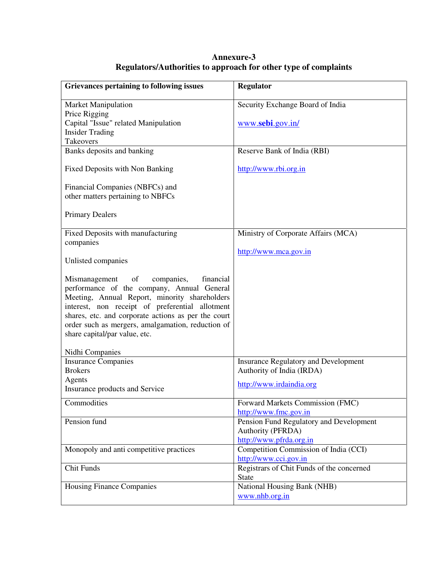| Annexure-3                                                      |
|-----------------------------------------------------------------|
| Regulators/Authorities to approach for other type of complaints |

| Grievances pertaining to following issues                                                                                                                                                                                                                                                                                                     | <b>Regulator</b>                                             |
|-----------------------------------------------------------------------------------------------------------------------------------------------------------------------------------------------------------------------------------------------------------------------------------------------------------------------------------------------|--------------------------------------------------------------|
| <b>Market Manipulation</b>                                                                                                                                                                                                                                                                                                                    | Security Exchange Board of India                             |
| Price Rigging                                                                                                                                                                                                                                                                                                                                 |                                                              |
| Capital "Issue" related Manipulation                                                                                                                                                                                                                                                                                                          | www.sebi.gov.in/                                             |
| <b>Insider Trading</b>                                                                                                                                                                                                                                                                                                                        |                                                              |
| Takeovers                                                                                                                                                                                                                                                                                                                                     |                                                              |
| Banks deposits and banking                                                                                                                                                                                                                                                                                                                    | Reserve Bank of India (RBI)                                  |
| Fixed Deposits with Non Banking                                                                                                                                                                                                                                                                                                               | http://www.rbi.org.in                                        |
| Financial Companies (NBFCs) and<br>other matters pertaining to NBFCs                                                                                                                                                                                                                                                                          |                                                              |
| <b>Primary Dealers</b>                                                                                                                                                                                                                                                                                                                        |                                                              |
| Fixed Deposits with manufacturing<br>companies                                                                                                                                                                                                                                                                                                | Ministry of Corporate Affairs (MCA)                          |
|                                                                                                                                                                                                                                                                                                                                               | http://www.mca.gov.in                                        |
| Unlisted companies                                                                                                                                                                                                                                                                                                                            |                                                              |
| financial<br>Mismanagement<br>of<br>companies,<br>performance of the company, Annual General<br>Meeting, Annual Report, minority shareholders<br>interest, non receipt of preferential allotment<br>shares, etc. and corporate actions as per the court<br>order such as mergers, amalgamation, reduction of<br>share capital/par value, etc. |                                                              |
| Nidhi Companies<br><b>Insurance Companies</b>                                                                                                                                                                                                                                                                                                 | <b>Insurance Regulatory and Development</b>                  |
| <b>Brokers</b>                                                                                                                                                                                                                                                                                                                                | Authority of India (IRDA)                                    |
| Agents                                                                                                                                                                                                                                                                                                                                        |                                                              |
| Insurance products and Service                                                                                                                                                                                                                                                                                                                | http://www.irdaindia.org                                     |
| Commodities                                                                                                                                                                                                                                                                                                                                   | Forward Markets Commission (FMC)<br>http://www.fmc.gov.in    |
| Pension fund                                                                                                                                                                                                                                                                                                                                  | Pension Fund Regulatory and Development<br>Authority (PFRDA) |
|                                                                                                                                                                                                                                                                                                                                               | http://www.pfrda.org.in                                      |
| Monopoly and anti competitive practices                                                                                                                                                                                                                                                                                                       | Competition Commission of India (CCI)                        |
|                                                                                                                                                                                                                                                                                                                                               | http://www.cci.gov.in                                        |
| Chit Funds                                                                                                                                                                                                                                                                                                                                    | Registrars of Chit Funds of the concerned                    |
|                                                                                                                                                                                                                                                                                                                                               | <b>State</b>                                                 |
| <b>Housing Finance Companies</b>                                                                                                                                                                                                                                                                                                              | National Housing Bank (NHB)                                  |
|                                                                                                                                                                                                                                                                                                                                               | www.nhb.org.in                                               |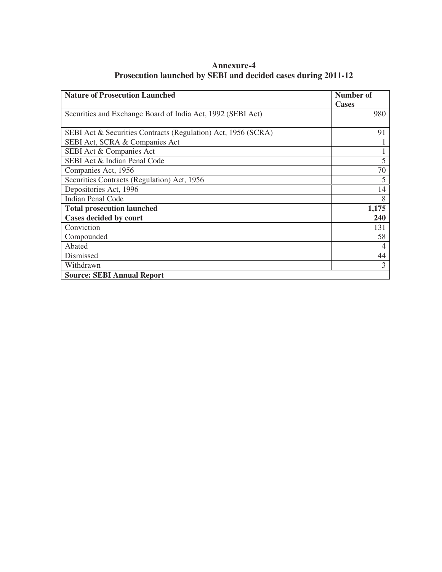| Annexure-4                                                    |  |  |  |
|---------------------------------------------------------------|--|--|--|
| Prosecution launched by SEBI and decided cases during 2011-12 |  |  |  |

| <b>Nature of Prosecution Launched</b>                         | Number of    |
|---------------------------------------------------------------|--------------|
|                                                               | <b>Cases</b> |
| Securities and Exchange Board of India Act, 1992 (SEBI Act)   | 980          |
|                                                               |              |
| SEBI Act & Securities Contracts (Regulation) Act, 1956 (SCRA) | 91           |
| SEBI Act, SCRA & Companies Act                                |              |
| SEBI Act & Companies Act                                      |              |
| SEBI Act & Indian Penal Code                                  | 5            |
| Companies Act, 1956                                           | 70           |
| Securities Contracts (Regulation) Act, 1956                   | 5            |
| Depositories Act, 1996                                        | 14           |
| Indian Penal Code                                             | 8            |
| <b>Total prosecution launched</b>                             | 1,175        |
| Cases decided by court                                        | 240          |
| Conviction                                                    | 131          |
| Compounded                                                    | 58           |
| Abated                                                        | 4            |
| Dismissed                                                     | 44           |
| Withdrawn                                                     | 3            |
| <b>Source: SEBI Annual Report</b>                             |              |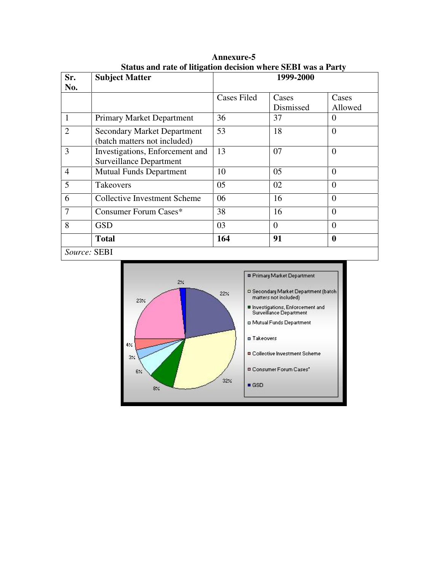| Sr.            | <b>Subject Matter</b>               | as and rate of holdwide decision where $\sigma$ library are any<br>1999-2000 |           |                |
|----------------|-------------------------------------|------------------------------------------------------------------------------|-----------|----------------|
| No.            |                                     |                                                                              |           |                |
|                |                                     | <b>Cases Filed</b>                                                           | Cases     | Cases          |
|                |                                     |                                                                              | Dismissed | Allowed        |
|                | <b>Primary Market Department</b>    | 36                                                                           | 37        | $\Omega$       |
| $\overline{2}$ | <b>Secondary Market Department</b>  | 53                                                                           | 18        | $\overline{0}$ |
|                | (batch matters not included)        |                                                                              |           |                |
| 3              | Investigations, Enforcement and     | 13                                                                           | 07        | $\overline{0}$ |
|                | <b>Surveillance Department</b>      |                                                                              |           |                |
| $\overline{4}$ | <b>Mutual Funds Department</b>      | 10                                                                           | 05        | $\theta$       |
| 5              | <b>Takeovers</b>                    | 05                                                                           | 02        | $\overline{0}$ |
| 6              | <b>Collective Investment Scheme</b> | 06                                                                           | 16        | $\theta$       |
| $\overline{7}$ | Consumer Forum Cases*               | 38                                                                           | 16        | $\theta$       |
| 8              | <b>GSD</b>                          | 03                                                                           | $\Omega$  | $\theta$       |
|                | <b>Total</b>                        | 164                                                                          | 91        | $\bf{0}$       |
| Source: SEBI   |                                     |                                                                              |           |                |

**Annexure-5 Status and rate of litigation decision where SEBI was a Party**

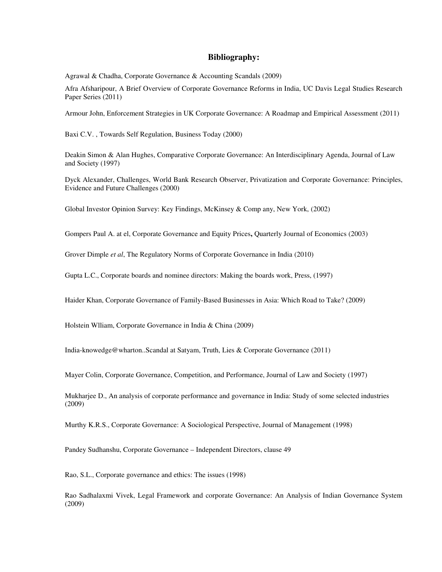#### **Bibliography:**

Agrawal & Chadha, Corporate Governance & Accounting Scandals (2009)

Afra Afsharipour, A Brief Overview of Corporate Governance Reforms in India, UC Davis Legal Studies Research Paper Series (2011)

Armour John, Enforcement Strategies in UK Corporate Governance: A Roadmap and Empirical Assessment (2011)

Baxi C.V. , Towards Self Regulation, Business Today (2000)

Deakin Simon & Alan Hughes, Comparative Corporate Governance: An Interdisciplinary Agenda, Journal of Law and Society (1997)

Dyck Alexander, Challenges, World Bank Research Observer, Privatization and Corporate Governance: Principles, Evidence and Future Challenges (2000)

Global Investor Opinion Survey: Key Findings, McKinsey & Comp any, New York, (2002)

Gompers Paul A. at el, Corporate Governance and Equity Prices**,** Quarterly Journal of Economics (2003)

Grover Dimple *et al*, The Regulatory Norms of Corporate Governance in India (2010)

Gupta L.C., Corporate boards and nominee directors: Making the boards work, Press, (1997)

Haider Khan, Corporate Governance of Family-Based Businesses in Asia: Which Road to Take? (2009)

Holstein Wlliam, Corporate Governance in India & China (2009)

India-knowedge@wharton..Scandal at Satyam, Truth, Lies & Corporate Governance (2011)

Mayer Colin, Corporate Governance, Competition, and Performance, Journal of Law and Society (1997)

Mukharjee D., An analysis of corporate performance and governance in India: Study of some selected industries (2009)

Murthy K.R.S., Corporate Governance: A Sociological Perspective, Journal of Management (1998)

Pandey Sudhanshu, Corporate Governance – Independent Directors, clause 49

Rao, S.L., Corporate governance and ethics: The issues (1998)

Rao Sadhalaxmi Vivek, Legal Framework and corporate Governance: An Analysis of Indian Governance System (2009)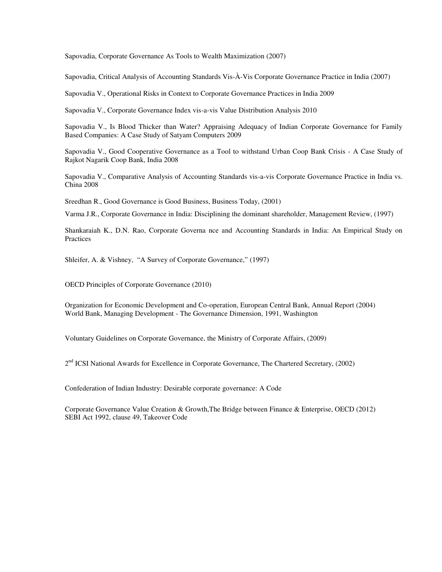Sapovadia, Corporate Governance As Tools to Wealth Maximization (2007)

Sapovadia, Critical Analysis of Accounting Standards Vis-À-Vis Corporate Governance Practice in India (2007)

Sapovadia V., Operational Risks in Context to Corporate Governance Practices in India 2009

Sapovadia V., Corporate Governance Index vis-a-vis Value Distribution Analysis 2010

Sapovadia V., Is Blood Thicker than Water? Appraising Adequacy of Indian Corporate Governance for Family Based Companies: A Case Study of Satyam Computers 2009

Sapovadia V., Good Cooperative Governance as a Tool to withstand Urban Coop Bank Crisis - A Case Study of Rajkot Nagarik Coop Bank, India 2008

Sapovadia V., Comparative Analysis of Accounting Standards vis-a-vis Corporate Governance Practice in India vs. China 2008

Sreedhan R., Good Governance is Good Business, Business Today, (2001)

Varma J.R., Corporate Governance in India: Disciplining the dominant shareholder, Management Review, (1997)

Shankaraiah K., D.N. Rao, Corporate Governa nce and Accounting Standards in India: An Empirical Study on **Practices** 

Shleifer, A. & Vishney, "A Survey of Corporate Governance," (1997)

OECD Principles of Corporate Governance (2010)

Organization for Economic Development and Co-operation, European Central Bank, Annual Report (2004) World Bank, Managing Development - The Governance Dimension, 1991, Washington

Voluntary Guidelines on Corporate Governance, the Ministry of Corporate Affairs, (2009)

2<sup>nd</sup> ICSI National Awards for Excellence in Corporate Governance, The Chartered Secretary, (2002)

Confederation of Indian Industry: Desirable corporate governance: A Code

Corporate Governance Value Creation & Growth,The Bridge between Finance & Enterprise, OECD (2012) SEBI Act 1992, clause 49, Takeover Code